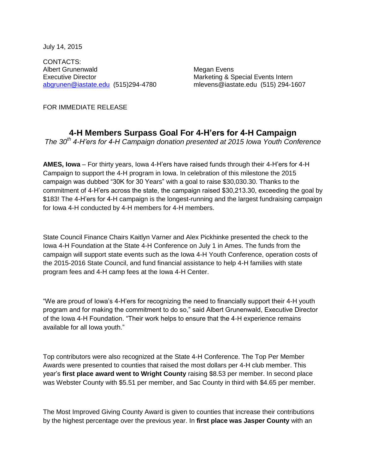July 14, 2015

CONTACTS: Albert Grunenwald Megan Evens Executive Director **Marketing & Special Events Intern** [abgrunen@iastate.edu](mailto:abgrunen@iastate.edu) (515)294-4780 mlevens@iastate.edu (515) 294-1607

FOR IMMEDIATE RELEASE

## **4-H Members Surpass Goal For 4-H'ers for 4-H Campaign**

*The 30th 4-H'ers for 4-H Campaign donation presented at 2015 Iowa Youth Conference*

**AMES, Iowa** – For thirty years, Iowa 4-H'ers have raised funds through their 4-H'ers for 4-H Campaign to support the 4-H program in Iowa. In celebration of this milestone the 2015 campaign was dubbed "30K for 30 Years" with a goal to raise \$30,030.30. Thanks to the commitment of 4-H'ers across the state, the campaign raised \$30,213.30, exceeding the goal by \$183! The 4-H'ers for 4-H campaign is the longest-running and the largest fundraising campaign for Iowa 4-H conducted by 4-H members for 4-H members.

State Council Finance Chairs Kaitlyn Varner and Alex Pickhinke presented the check to the Iowa 4-H Foundation at the State 4-H Conference on July 1 in Ames. The funds from the campaign will support state events such as the Iowa 4-H Youth Conference, operation costs of the 2015-2016 State Council, and fund financial assistance to help 4-H families with state program fees and 4-H camp fees at the Iowa 4-H Center.

"We are proud of Iowa's 4-H'ers for recognizing the need to financially support their 4-H youth program and for making the commitment to do so," said Albert Grunenwald, Executive Director of the Iowa 4-H Foundation. "Their work helps to ensure that the 4-H experience remains available for all Iowa youth."

Top contributors were also recognized at the State 4-H Conference. The Top Per Member Awards were presented to counties that raised the most dollars per 4-H club member. This year's **first place award went to Wright County** raising \$8.53 per member. In second place was Webster County with \$5.51 per member, and Sac County in third with \$4.65 per member.

The Most Improved Giving County Award is given to counties that increase their contributions by the highest percentage over the previous year. In **first place was Jasper County** with an